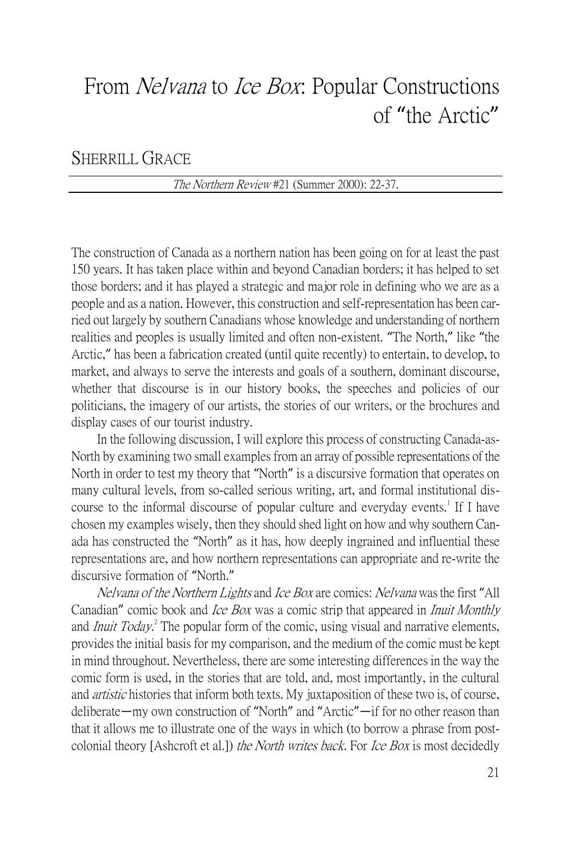# From *Nelvana* to *Ice Box*: Popular Constructions of "the Arctic"

## SHERRILL GRACE

### The Northern Review #21 (Summer 2000): 22-37.

The construction of Canada as a northern nation has been going on for at least the past 150 years. It has taken place within and beyond Canadian borders; it has helped to set those borders; and it has played a strategic and major role in defining who we are as a people and as a nation. However, this construction and self-representation has been carried out largely by southern Canadians whose knowledge and understanding of northern realities and peoples is usually limited and often non-existent. "The North," like "the Arctic," has been a fabrication created (until quite recently) to entertain, to develop, to market, and always to serve the interests and goals of a southern, dominant discourse, whether that discourse is in our history books, the speeches and policies of our politicians, the imagery of our artists, the stories of our writers, or the brochures and display cases of our tourist industry.

In the following discussion, I will explore this process of constructing Canada-as-North by examining two small examples from an array of possible representations of the North in order to test my theory that "North" is a discursive formation that operates on many cultural levels, from so-called serious writing, art, and formal institutional discourse to the informal discourse of popular culture and everyday events.<sup>1</sup> If I have chosen my examples wisely, then they should shed light on how and why southern Canada has constructed the "North" as it has, how deeply ingrained and influential these representations are, and how northern representations can appropriate and re-write the discursive formation of "North."

Nelvana of the Northern Lights and Ice Box are comics: Nelvana was the first "All Canadian" comic book and *Ice Box* was a comic strip that appeared in *Inuit Monthly* and *Inuit Today*.<sup>2</sup> The popular form of the comic, using visual and narrative elements, provides the initial basis for my comparison, and the medium of the comic must be kept in mind throughout. Nevertheless, there are some interesting differences in the way the comic form is used, in the stories that are told, and, most importantly, in the cultural and *artistic* histories that inform both texts. My juxtaposition of these two is, of course, deliberate—my own construction of "North" and "Arctic"—if for no other reason than that it allows me to illustrate one of the ways in which (to borrow a phrase from postcolonial theory [Ashcroft et al.]) the North writes back. For Ice Box is most decidedly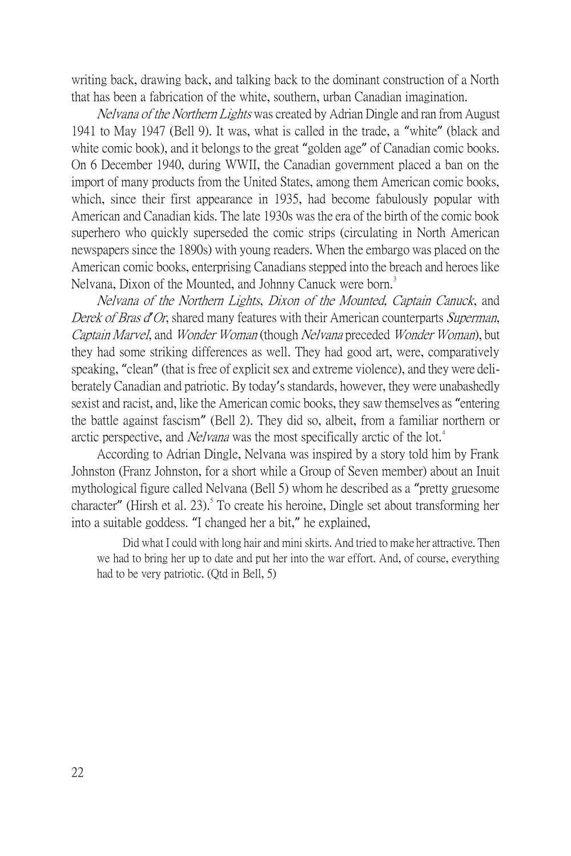writing back, drawing back, and talking back to the dominant construction of a North that has been a fabrication of the white, southern, urban Canadian imagination.

Nelvana of the Northern Lights was created by Adrian Dingle and ran from August 1941 to May 1947 (Bell 9). It was, what is called in the trade, a "white" (black and white comic book), and it belongs to the great "golden age" of Canadian comic books. On 6 December 1940, during WWII, the Canadian government placed a ban on the import of many products from the United States, among them American comic books, which, since their first appearance in 1935, had become fabulously popular with American and Canadian kids. The late 1930s was the era of the birth of the comic book superhero who quickly superseded the comic strips (circulating in North American newspapers since the 1890s) with young readers. When the embargo was placed on the American comic books, enterprising Canadians stepped into the breach and heroes like Nelvana, Dixon of the Mounted, and Johnny Canuck were born.<sup>3</sup>

Nelvana of the Northern Lights, Dixon of the Mounted, Captain Canuck, and Derek of Bras d*'*Or, shared many features with their American counterparts Superman, Captain Marvel, and Wonder Woman (though Nelvana preceded Wonder Woman), but they had some striking differences as well. They had good art, were, comparatively speaking, "clean" (that is free of explicit sex and extreme violence), and they were deliberately Canadian and patriotic. By today's standards, however, they were unabashedly sexist and racist, and, like the American comic books, they saw themselves as "entering the battle against fascism" (Bell 2). They did so, albeit, from a familiar northern or arctic perspective, and *Nelvana* was the most specifically arctic of the lot.<sup>4</sup>

According to Adrian Dingle, Nelvana was inspired by a story told him by Frank Johnston (Franz Johnston, for a short while a Group of Seven member) about an Inuit mythological figure called Nelvana (Bell 5) whom he described as a "pretty gruesome character" (Hirsh et al. 23). To create his heroine, Dingle set about transforming her into a suitable goddess. "I changed her a bit," he explained,

Did what I could with long hair and mini skirts. And tried to make her attractive. Then we had to bring her up to date and put her into the war effort. And, of course, everything had to be very patriotic. (Qtd in Bell, 5)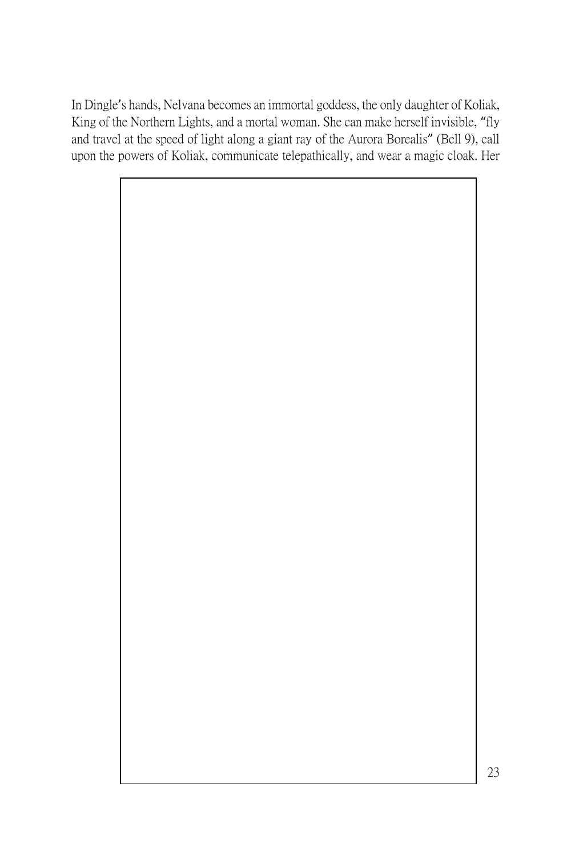In Dingle's hands, Nelvana becomes an immortal goddess, the only daughter of Koliak, King of the Northern Lights, and a mortal woman. She can make herself invisible, "fly and travel at the speed of light along a giant ray of the Aurora Borealis" (Bell 9), call upon the powers of Koliak, communicate telepathically, and wear a magic cloak. Her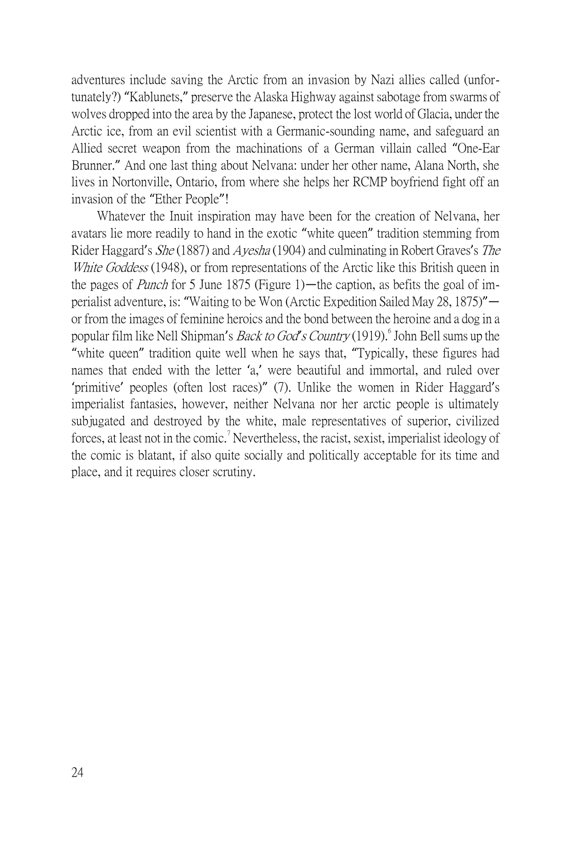adventures include saving the Arctic from an invasion by Nazi allies called (unfortunately?) "Kablunets," preserve the Alaska Highway against sabotage from swarms of wolves dropped into the area by the Japanese, protect the lost world of Glacia, under the Arctic ice, from an evil scientist with a Germanic-sounding name, and safeguard an Allied secret weapon from the machinations of a German villain called "One-Ear Brunner." And one last thing about Nelvana: under her other name, Alana North, she lives in Nortonville, Ontario, from where she helps her RCMP boyfriend fight off an invasion of the "Ether People"!

Whatever the Inuit inspiration may have been for the creation of Nelvana, her avatars lie more readily to hand in the exotic "white queen" tradition stemming from Rider Haggard's She (1887) and Ayesha (1904) and culminating in Robert Graves's The White Goddess (1948), or from representations of the Arctic like this British queen in the pages of Punch for 5 June 1875 (Figure 1)—the caption, as befits the goal of imperialist adventure, is: "Waiting to be Won (Arctic Expedition Sailed May 28, 1875)" or from the images of feminine heroics and the bond between the heroine and a dog in a popular film like Nell Shipman's *Back to God's Country* (1919). <sup>6</sup> John Bell sums up the "white queen" tradition quite well when he says that, "Typically, these figures had names that ended with the letter 'a,' were beautiful and immortal, and ruled over 'primitive' peoples (often lost races)" (7). Unlike the women in Rider Haggard's imperialist fantasies, however, neither Nelvana nor her arctic people is ultimately subjugated and destroyed by the white, male representatives of superior, civilized forces, at least not in the comic.<sup>7</sup> Nevertheless, the racist, sexist, imperialist ideology of the comic is blatant, if also quite socially and politically acceptable for its time and place, and it requires closer scrutiny.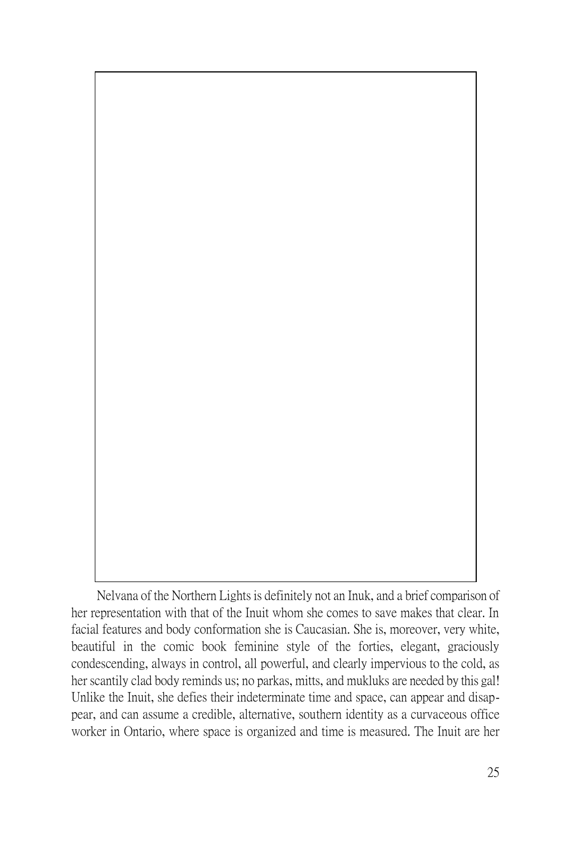Nelvana of the Northern Lights is definitely not an Inuk, and a brief comparison of her representation with that of the Inuit whom she comes to save makes that clear. In facial features and body conformation she is Caucasian. She is, moreover, very white, beautiful in the comic book feminine style of the forties, elegant, graciously condescending, always in control, all powerful, and clearly impervious to the cold, as her scantily clad body reminds us; no parkas, mitts, and mukluks are needed by this gal! Unlike the Inuit, she defies their indeterminate time and space, can appear and disappear, and can assume a credible, alternative, southern identity as a curvaceous office worker in Ontario, where space is organized and time is measured. The Inuit are her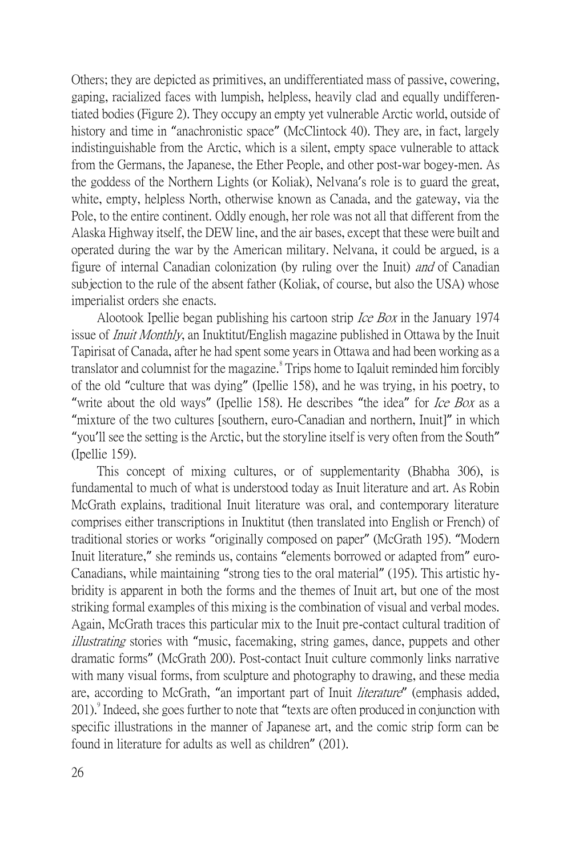Others; they are depicted as primitives, an undifferentiated mass of passive, cowering, gaping, racialized faces with lumpish, helpless, heavily clad and equally undifferentiated bodies (Figure 2). They occupy an empty yet vulnerable Arctic world, outside of history and time in "anachronistic space" (McClintock 40). They are, in fact, largely indistinguishable from the Arctic, which is a silent, empty space vulnerable to attack from the Germans, the Japanese, the Ether People, and other post-war bogey-men. As the goddess of the Northern Lights (or Koliak), Nelvana's role is to guard the great, white, empty, helpless North, otherwise known as Canada, and the gateway, via the Pole, to the entire continent. Oddly enough, her role was not all that different from the Alaska Highway itself, the DEW line, and the air bases, except that these were built and operated during the war by the American military. Nelvana, it could be argued, is a figure of internal Canadian colonization (by ruling over the Inuit) and of Canadian subjection to the rule of the absent father (Koliak, of course, but also the USA) whose imperialist orders she enacts.

Alootook Ipellie began publishing his cartoon strip *Ice Box* in the January 1974 issue of *Inuit Monthly*, an Inuktitut/English magazine published in Ottawa by the Inuit Tapirisat of Canada, after he had spent some years in Ottawa and had been working as a translator and columnist for the magazine.<sup>8</sup> Trips home to Iqaluit reminded him forcibly of the old "culture that was dying" (Ipellie 158), and he was trying, in his poetry, to "write about the old ways" (Ipellie 158). He describes "the idea" for *Ice Box* as a "mixture of the two cultures [southern, euro-Canadian and northern, Inuit]" in which "you'll see the setting is the Arctic, but the storyline itself is very often from the South" (Ipellie 159).

This concept of mixing cultures, or of supplementarity (Bhabha 306), is fundamental to much of what is understood today as Inuit literature and art. As Robin McGrath explains, traditional Inuit literature was oral, and contemporary literature comprises either transcriptions in Inuktitut (then translated into English or French) of traditional stories or works "originally composed on paper" (McGrath 195). "Modern Inuit literature," she reminds us, contains "elements borrowed or adapted from" euro-Canadians, while maintaining "strong ties to the oral material" (195). This artistic hybridity is apparent in both the forms and the themes of Inuit art, but one of the most striking formal examples of this mixing is the combination of visual and verbal modes. Again, McGrath traces this particular mix to the Inuit pre-contact cultural tradition of illustrating stories with "music, facemaking, string games, dance, puppets and other dramatic forms" (McGrath 200). Post-contact Inuit culture commonly links narrative with many visual forms, from sculpture and photography to drawing, and these media are, according to McGrath, "an important part of Inuit *literature*" (emphasis added, 201). Indeed, she goes further to note that "texts are often produced in conjunction with specific illustrations in the manner of Japanese art, and the comic strip form can be found in literature for adults as well as children" (201).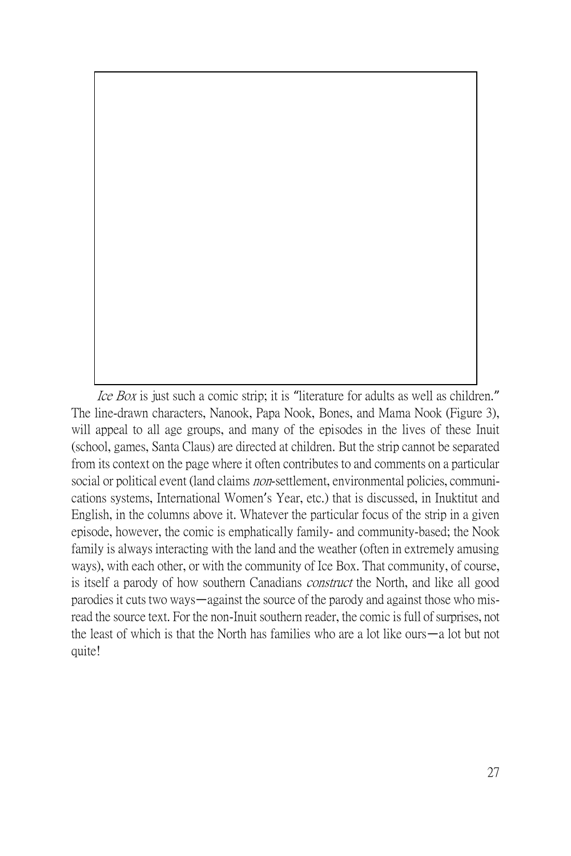Ice Box is just such a comic strip; it is "literature for adults as well as children." The line-drawn characters, Nanook, Papa Nook, Bones, and Mama Nook (Figure 3), will appeal to all age groups, and many of the episodes in the lives of these Inuit (school, games, Santa Claus) are directed at children. But the strip cannot be separated from its context on the page where it often contributes to and comments on a particular social or political event (land claims *non*-settlement, environmental policies, communications systems, International Women's Year, etc.) that is discussed, in Inuktitut and English, in the columns above it. Whatever the particular focus of the strip in a given episode, however, the comic is emphatically family- and community-based; the Nook family is always interacting with the land and the weather (often in extremely amusing ways), with each other, or with the community of Ice Box. That community, of course, is itself a parody of how southern Canadians *construct* the North, and like all good parodies it cuts two ways—against the source of the parody and against those who misread the source text. For the non-Inuit southern reader, the comic is full of surprises, not the least of which is that the North has families who are a lot like ours—a lot but not quite!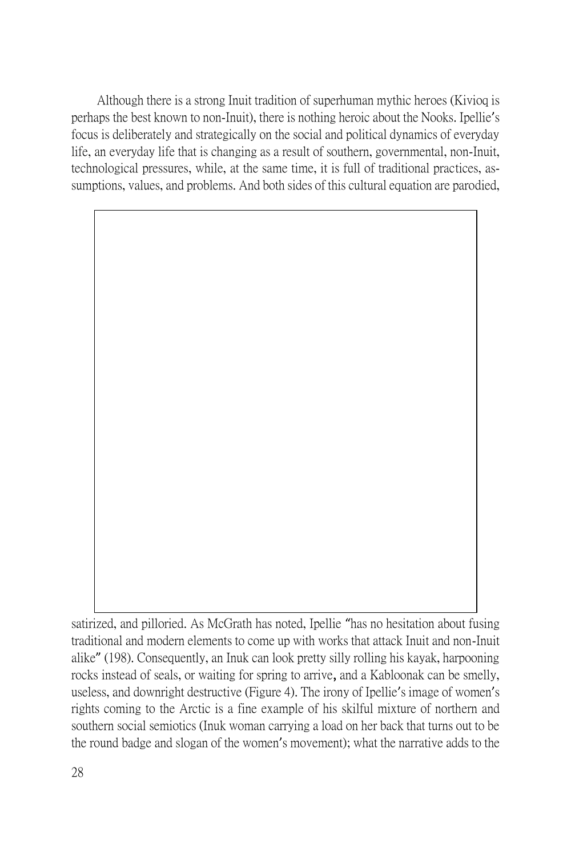Although there is a strong Inuit tradition of superhuman mythic heroes (Kivioq is perhaps the best known to non-Inuit), there is nothing heroic about the Nooks. Ipellie's focus is deliberately and strategically on the social and political dynamics of everyday life, an everyday life that is changing as a result of southern, governmental, non-Inuit, technological pressures, while, at the same time, it is full of traditional practices, assumptions, values, and problems. And both sides of this cultural equation are parodied,

satirized, and pilloried. As McGrath has noted, Ipellie "has no hesitation about fusing traditional and modern elements to come up with works that attack Inuit and non-Inuit alike" (198). Consequently, an Inuk can look pretty silly rolling his kayak, harpooning rocks instead of seals, or waiting for spring to arrive, and a Kabloonak can be smelly, useless, and downright destructive (Figure 4). The irony of Ipellie's image of women's rights coming to the Arctic is a fine example of his skilful mixture of northern and southern social semiotics (Inuk woman carrying a load on her back that turns out to be the round badge and slogan of the women's movement); what the narrative adds to the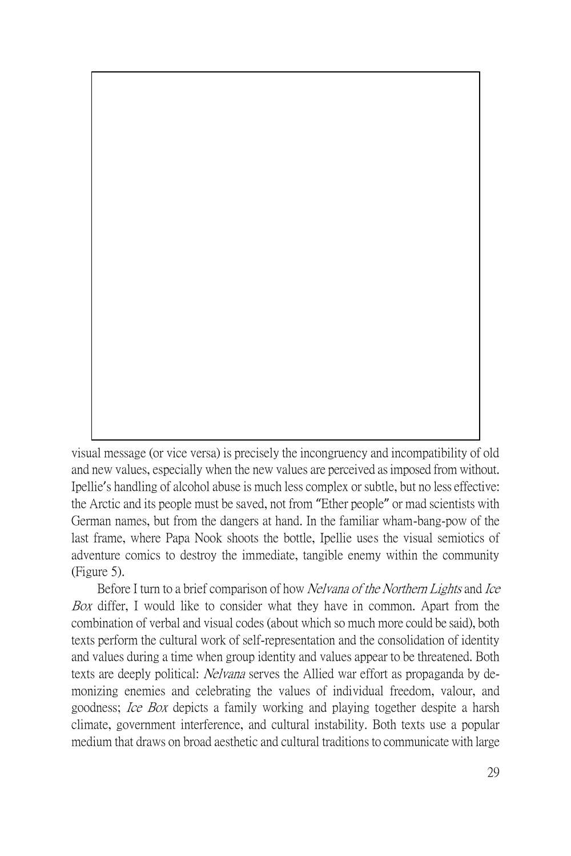visual message (or vice versa) is precisely the incongruency and incompatibility of old and new values, especially when the new values are perceived as imposed from without. Ipellie's handling of alcohol abuse is much less complex or subtle, but no less effective: the Arctic and its people must be saved, not from "Ether people" or mad scientists with German names, but from the dangers at hand. In the familiar wham-bang-pow of the last frame, where Papa Nook shoots the bottle, Ipellie uses the visual semiotics of adventure comics to destroy the immediate, tangible enemy within the community (Figure 5).

Before I turn to a brief comparison of how Nelvana of the Northern Lights and Ice Box differ, I would like to consider what they have in common. Apart from the combination of verbal and visual codes (about which so much more could be said), both texts perform the cultural work of self-representation and the consolidation of identity and values during a time when group identity and values appear to be threatened. Both texts are deeply political: Nelvana serves the Allied war effort as propaganda by demonizing enemies and celebrating the values of individual freedom, valour, and goodness; Ice Box depicts a family working and playing together despite a harsh climate, government interference, and cultural instability. Both texts use a popular medium that draws on broad aesthetic and cultural traditions to communicate with large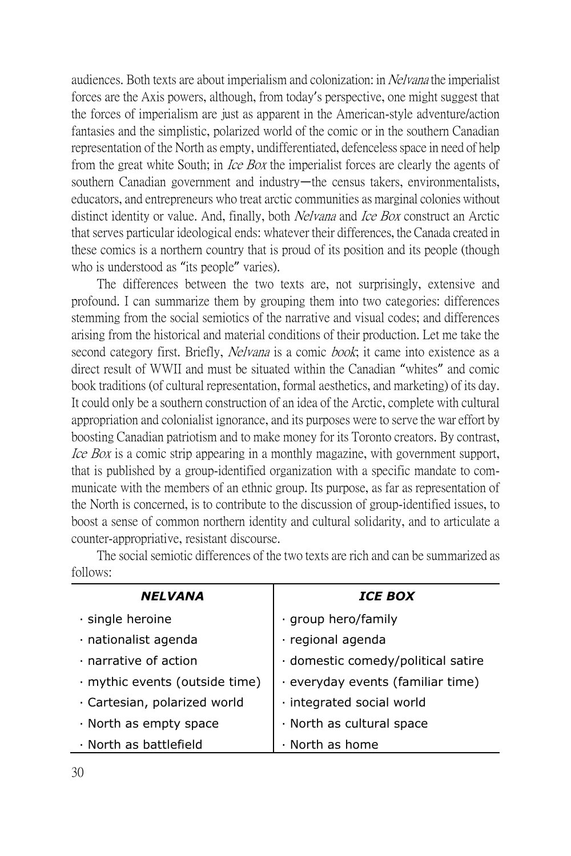audiences. Both texts are about imperialism and colonization: in *Nelvana* the imperialist forces are the Axis powers, although, from today's perspective, one might suggest that the forces of imperialism are just as apparent in the American-style adventure/action fantasies and the simplistic, polarized world of the comic or in the southern Canadian representation of the North as empty, undifferentiated, defenceless space in need of help from the great white South; in *Ice Box* the imperialist forces are clearly the agents of southern Canadian government and industry—the census takers, environmentalists, educators, and entrepreneurs who treat arctic communities as marginal colonies without distinct identity or value. And, finally, both *Nelvana* and *Ice Box* construct an Arctic that serves particular ideological ends: whatever their differences, the Canada created in these comics is a northern country that is proud of its position and its people (though who is understood as "its people" varies).

The differences between the two texts are, not surprisingly, extensive and profound. I can summarize them by grouping them into two categories: differences stemming from the social semiotics of the narrative and visual codes; and differences arising from the historical and material conditions of their production. Let me take the second category first. Briefly, *Nelvana* is a comic *book*; it came into existence as a direct result of WWII and must be situated within the Canadian "whites" and comic book traditions (of cultural representation, formal aesthetics, and marketing) of its day. It could only be a southern construction of an idea of the Arctic, complete with cultural appropriation and colonialist ignorance, and its purposes were to serve the war effort by boosting Canadian patriotism and to make money for its Toronto creators. By contrast, Ice Box is a comic strip appearing in a monthly magazine, with government support, that is published by a group-identified organization with a specific mandate to communicate with the members of an ethnic group. Its purpose, as far as representation of the North is concerned, is to contribute to the discussion of group-identified issues, to boost a sense of common northern identity and cultural solidarity, and to articulate a counter-appropriative, resistant discourse.

*NELVANA ICE BOX*  $\cdot$  single heroine  $\cdot$   $\cdot$  group hero/family  $\cdot$  nationalist agenda  $\cdot$  regional agenda  $\cdot$  narrative of action  $\vert \cdot \vert$  domestic comedy/political satire  $\cdot$  mythic events (outside time)  $\vert \cdot \vert$  everyday events (familiar time)  $\cdot$  Cartesian, polarized world  $\cdot$  integrated social world  $\cdot$  North as empty space  $\cdot$  North as cultural space  $\cdot$  North as battlefield  $\cdot$  North as home

The social semiotic differences of the two texts are rich and can be summarized as follows: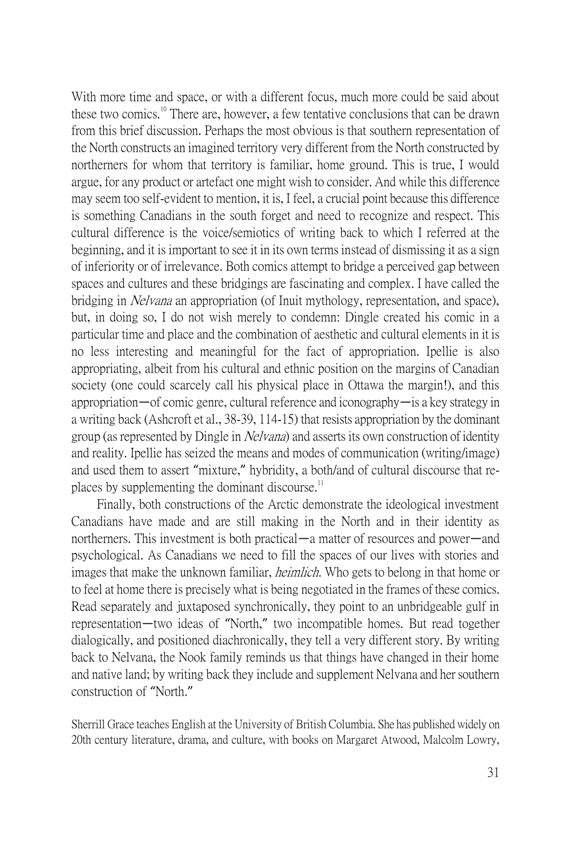With more time and space, or with a different focus, much more could be said about these two comics.<sup>10</sup> There are, however, a few tentative conclusions that can be drawn from this brief discussion. Perhaps the most obvious is that southern representation of the North constructs an imagined territory very different from the North constructed by northerners for whom that territory is familiar, home ground. This is true, I would argue, for any product or artefact one might wish to consider. And while this difference may seem too self-evident to mention, it is, I feel, a crucial point because this difference is something Canadians in the south forget and need to recognize and respect. This cultural difference is the voice/semiotics of writing back to which I referred at the beginning, and it is important to see it in its own terms instead of dismissing it as a sign of inferiority or of irrelevance. Both comics attempt to bridge a perceived gap between spaces and cultures and these bridgings are fascinating and complex. I have called the bridging in *Nelvana* an appropriation (of Inuit mythology, representation, and space), but, in doing so, I do not wish merely to condemn: Dingle created his comic in a particular time and place and the combination of aesthetic and cultural elements in it is no less interesting and meaningful for the fact of appropriation. Ipellie is also appropriating, albeit from his cultural and ethnic position on the margins of Canadian society (one could scarcely call his physical place in Ottawa the margin!), and this appropriation—of comic genre, cultural reference and iconography—is a key strategy in a writing back (Ashcroft et al., 38-39, 114-15) that resists appropriation by the dominant group (as represented by Dingle in Nelvana) and asserts its own construction of identity and reality. Ipellie has seized the means and modes of communication (writing/image) and used them to assert "mixture," hybridity, a both/and of cultural discourse that replaces by supplementing the dominant discourse. $\frac{1}{1}$ 

Finally, both constructions of the Arctic demonstrate the ideological investment Canadians have made and are still making in the North and in their identity as northerners. This investment is both practical—a matter of resources and power—and psychological. As Canadians we need to fill the spaces of our lives with stories and images that make the unknown familiar, *heimlich*. Who gets to belong in that home or to feel at home there is precisely what is being negotiated in the frames of these comics. Read separately and juxtaposed synchronically, they point to an unbridgeable gulf in representation—two ideas of "North," two incompatible homes. But read together dialogically, and positioned diachronically, they tell a very different story. By writing back to Nelvana, the Nook family reminds us that things have changed in their home and native land; by writing back they include and supplement Nelvana and her southern construction of "North."

Sherrill Grace teaches English at the University of British Columbia. She has published widely on 20th century literature, drama, and culture, with books on Margaret Atwood, Malcolm Lowry,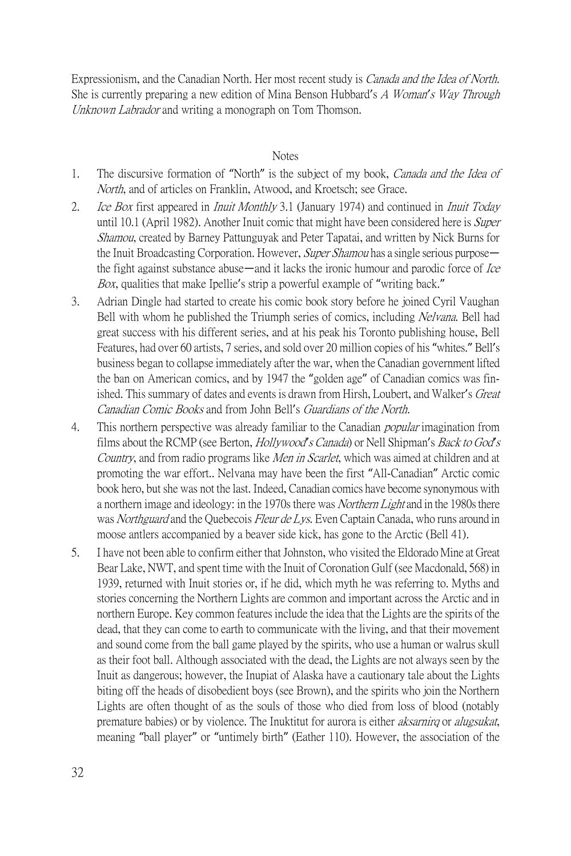Expressionism, and the Canadian North. Her most recent study is *Canada and the Idea of North*. She is currently preparing a new edition of Mina Benson Hubbard's A Woman*'*s Way Through Unknown Labrador and writing a monograph on Tom Thomson.

#### Notes

- 1. The discursive formation of "North" is the subject of my book, *Canada and the Idea of* North, and of articles on Franklin, Atwood, and Kroetsch; see Grace.
- 2. *Ice Box* first appeared in *Inuit Monthly* 3.1 (January 1974) and continued in *Inuit Today* until 10.1 (April 1982). Another Inuit comic that might have been considered here is *Super* Shamou, created by Barney Pattunguyak and Peter Tapatai, and written by Nick Burns for the Inuit Broadcasting Corporation. However, *Super Shamou* has a single serious purpose the fight against substance abuse—and it lacks the ironic humour and parodic force of *Ice* Box, qualities that make Ipellie's strip a powerful example of "writing back."
- 3. Adrian Dingle had started to create his comic book story before he joined Cyril Vaughan Bell with whom he published the Triumph series of comics, including Nelvana. Bell had great success with his different series, and at his peak his Toronto publishing house, Bell Features, had over 60 artists, 7 series, and sold over 20 million copies of his "whites." Bell's business began to collapse immediately after the war, when the Canadian government lifted the ban on American comics, and by 1947 the "golden age" of Canadian comics was finished. This summary of dates and events is drawn from Hirsh, Loubert, and Walker's *Great* Canadian Comic Books and from John Bell's Guardians of the North.
- 4. This northern perspective was already familiar to the Canadian *popular* imagination from films about the RCMP (see Berton, Hollywood*'*s Canada) or Nell Shipman's Back to God*'*<sup>s</sup> Country, and from radio programs like *Men in Scarlet*, which was aimed at children and at promoting the war effort.. Nelvana may have been the first "All-Canadian" Arctic comic book hero, but she was not the last. Indeed, Canadian comics have become synonymous with a northern image and ideology: in the 1970s there was *Northern Light* and in the 1980s there was Northguard and the Quebecois Fleur de Lys. Even Captain Canada, who runs around in moose antlers accompanied by a beaver side kick, has gone to the Arctic (Bell 41).
- 5. I have not been able to confirm either that Johnston, who visited the Eldorado Mine at Great Bear Lake, NWT, and spent time with the Inuit of Coronation Gulf (see Macdonald, 568) in 1939, returned with Inuit stories or, if he did, which myth he was referring to. Myths and stories concerning the Northern Lights are common and important across the Arctic and in northern Europe. Key common features include the idea that the Lights are the spirits of the dead, that they can come to earth to communicate with the living, and that their movement and sound come from the ball game played by the spirits, who use a human or walrus skull as their foot ball. Although associated with the dead, the Lights are not always seen by the Inuit as dangerous; however, the Inupiat of Alaska have a cautionary tale about the Lights biting off the heads of disobedient boys (see Brown), and the spirits who join the Northern Lights are often thought of as the souls of those who died from loss of blood (notably premature babies) or by violence. The Inuktitut for aurora is either aksarnirq or alugsukat, meaning "ball player" or "untimely birth" (Eather 110). However, the association of the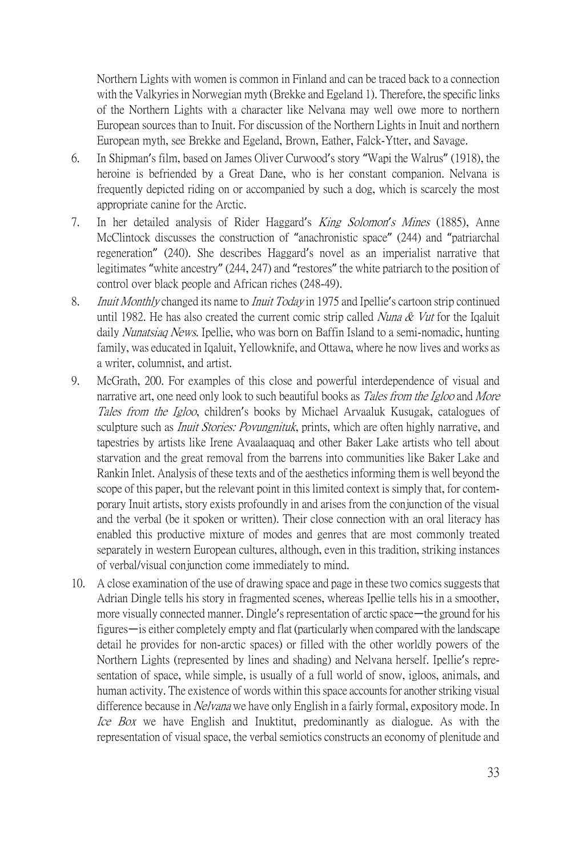Northern Lights with women is common in Finland and can be traced back to a connection with the Valkyries in Norwegian myth (Brekke and Egeland 1). Therefore, the specific links of the Northern Lights with a character like Nelvana may well owe more to northern European sources than to Inuit. For discussion of the Northern Lights in Inuit and northern European myth, see Brekke and Egeland, Brown, Eather, Falck-Ytter, and Savage.

- 6. In Shipman's film, based on James Oliver Curwood's story "Wapi the Walrus" (1918), the heroine is befriended by a Great Dane, who is her constant companion. Nelvana is frequently depicted riding on or accompanied by such a dog, which is scarcely the most appropriate canine for the Arctic.
- 7. In her detailed analysis of Rider Haggard's King Solomon*'*s Mines (1885), Anne McClintock discusses the construction of "anachronistic space" (244) and "patriarchal regeneration" (240). She describes Haggard's novel as an imperialist narrative that legitimates "white ancestry" (244, 247) and "restores" the white patriarch to the position of control over black people and African riches (248-49).
- 8. *Inuit Monthly* changed its name to *Inuit Today* in 1975 and Ipellie's cartoon strip continued until 1982. He has also created the current comic strip called *Nuna & Vut* for the Iqaluit daily Nunatsiaq News. Ipellie, who was born on Baffin Island to a semi-nomadic, hunting family, was educated in Iqaluit, Yellowknife, and Ottawa, where he now lives and works as a writer, columnist, and artist.
- 9. McGrath, 200. For examples of this close and powerful interdependence of visual and narrative art, one need only look to such beautiful books as *Tales from the Igloo* and *More* Tales from the Igloo, children's books by Michael Arvaaluk Kusugak, catalogues of sculpture such as *Inuit Stories: Povungnituk*, prints, which are often highly narrative, and tapestries by artists like Irene Avaalaaquaq and other Baker Lake artists who tell about starvation and the great removal from the barrens into communities like Baker Lake and Rankin Inlet. Analysis of these texts and of the aesthetics informing them is well beyond the scope of this paper, but the relevant point in this limited context is simply that, for contemporary Inuit artists, story exists profoundly in and arises from the conjunction of the visual and the verbal (be it spoken or written). Their close connection with an oral literacy has enabled this productive mixture of modes and genres that are most commonly treated separately in western European cultures, although, even in this tradition, striking instances of verbal/visual conjunction come immediately to mind.
- 10. A close examination of the use of drawing space and page in these two comics suggests that Adrian Dingle tells his story in fragmented scenes, whereas Ipellie tells his in a smoother, more visually connected manner. Dingle's representation of arctic space—the ground for his figures—is either completely empty and flat (particularly when compared with the landscape detail he provides for non-arctic spaces) or filled with the other worldly powers of the Northern Lights (represented by lines and shading) and Nelvana herself. Ipellie's representation of space, while simple, is usually of a full world of snow, igloos, animals, and human activity. The existence of words within this space accounts for another striking visual difference because in *Nelvana* we have only English in a fairly formal, expository mode. In Ice Box we have English and Inuktitut, predominantly as dialogue. As with the representation of visual space, the verbal semiotics constructs an economy of plenitude and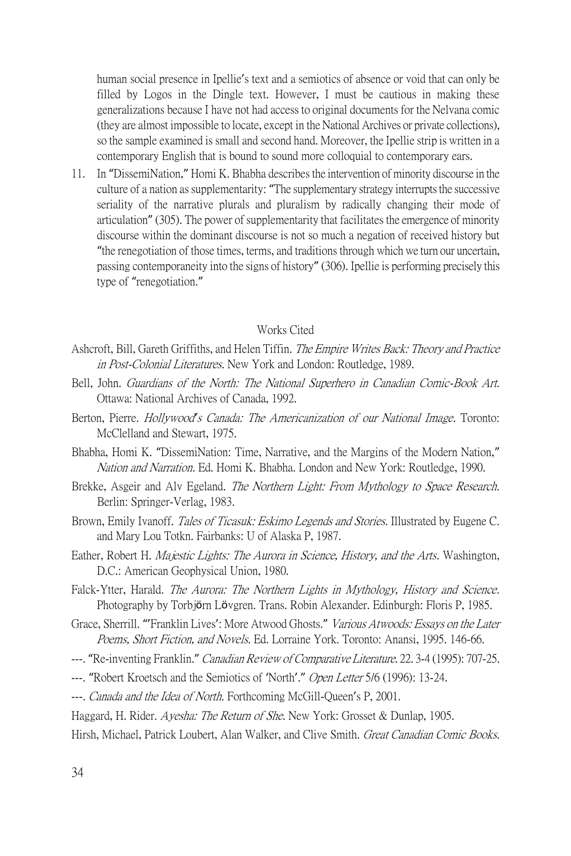human social presence in Ipellie's text and a semiotics of absence or void that can only be filled by Logos in the Dingle text. However, I must be cautious in making these generalizations because I have not had access to original documents for the Nelvana comic (they are almost impossible to locate, except in the National Archives or private collections), so the sample examined is small and second hand. Moreover, the Ipellie strip is written in a contemporary English that is bound to sound more colloquial to contemporary ears.

11. In "DissemiNation," Homi K. Bhabha describes the intervention of minority discourse in the culture of a nation as supplementarity: "The supplementary strategy interrupts the successive seriality of the narrative plurals and pluralism by radically changing their mode of articulation" (305). The power of supplementarity that facilitates the emergence of minority discourse within the dominant discourse is not so much a negation of received history but "the renegotiation of those times, terms, and traditions through which we turn our uncertain, passing contemporaneity into the signs of history" (306). Ipellie is performing precisely this type of "renegotiation."

#### Works Cited

- Ashcroft, Bill, Gareth Griffiths, and Helen Tiffin. *The Empire Writes Back: Theory and Practice* in Post-Colonial Literatures. New York and London: Routledge. 1989.
- Bell, John. Guardians of the North: The National Superhero in Canadian Comic-Book Art. Ottawa: National Archives of Canada, 1992.
- Berton, Pierre. Hollywood*'*s Canada: The Americanization of our National Image. Toronto: McClelland and Stewart, 1975.
- Bhabha, Homi K. "DissemiNation: Time, Narrative, and the Margins of the Modern Nation," Nation and Narration. Ed. Homi K. Bhabha. London and New York: Routledge, 1990.
- Brekke, Asgeir and Alv Egeland. The Northern Light: From Mythology to Space Research. Berlin: Springer-Verlag, 1983.
- Brown, Emily Ivanoff. *Tales of Ticasuk: Eskimo Legends and Stories*. Illustrated by Eugene C. and Mary Lou Totkn. Fairbanks: U of Alaska P, 1987.
- Eather, Robert H. Majestic Lights: The Aurora in Science, History, and the Arts. Washington, D.C.: American Geophysical Union, 1980.
- Falck-Ytter, Harald. *The Aurora: The Northern Lights in Mythology, History and Science*. Photography by Torbjörn Lövgren. Trans. Robin Alexander. Edinburgh: Floris P, 1985.
- Grace, Sherrill. "'Franklin Lives': More Atwood Ghosts." Various Atwoods: Essays on the Later Poems, Short Fiction, and Novels, Ed. Lorraine York. Toronto: Anansi, 1995, 146-66.
- ---. "Re-inventing Franklin." Canadian Review of Comparative Literature. 22. 3-4 (1995): 707-25.
- ---. "Robert Kroetsch and the Semiotics of 'North'." Open Letter 5/6 (1996): 13-24.
- ---. Canada and the Idea of North. Forthcoming McGill-Queen's P, 2001.
- Haggard, H. Rider. *Ayesha: The Return of She*. New York: Grosset & Dunlap, 1905.
- Hirsh, Michael, Patrick Loubert, Alan Walker, and Clive Smith. Great Canadian Comic Books.